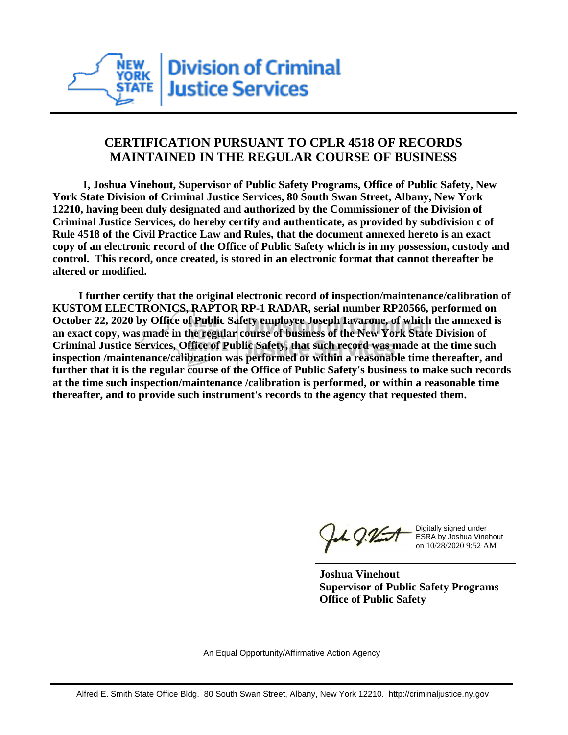

## **CERTIFICATION PURSUANT TO CPLR 4518 OF RECORDS MAINTAINED IN THE REGULAR COURSE OF BUSINESS**

 **I, Joshua Vinehout, Supervisor of Public Safety Programs, Office of Public Safety, New York State Division of Criminal Justice Services, 80 South Swan Street, Albany, New York 12210, having been duly designated and authorized by the Commissioner of the Division of Criminal Justice Services, do hereby certify and authenticate, as provided by subdivision c of Rule 4518 of the Civil Practice Law and Rules, that the document annexed hereto is an exact copy of an electronic record of the Office of Public Safety which is in my possession, custody and control. This record, once created, is stored in an electronic format that cannot thereafter be altered or modified.**

 **I further certify that the original electronic record of inspection/maintenance/calibration of KUSTOM ELECTRONICS, RAPTOR RP-1 RADAR, serial number RP20566, performed on October 22, 2020 by Office of Public Safety employee Joseph Iavarone, of which the annexed is an exact copy, was made in the regular course of business of the New York State Division of Criminal Justice Services, Office of Public Safety, that such record was made at the time such inspection /maintenance/calibration was performed or within a reasonable time thereafter, and further that it is the regular course of the Office of Public Safety's business to make such records at the time such inspection/maintenance /calibration is performed, or within a reasonable time thereafter, and to provide such instrument's records to the agency that requested them.**

h J.Vint

Digitally signed under ESRA by Joshua Vinehout on 10/28/2020 9:52 AM

**Joshua Vinehout Supervisor of Public Safety Programs Office of Public Safety**

An Equal Opportunity/Affirmative Action Agency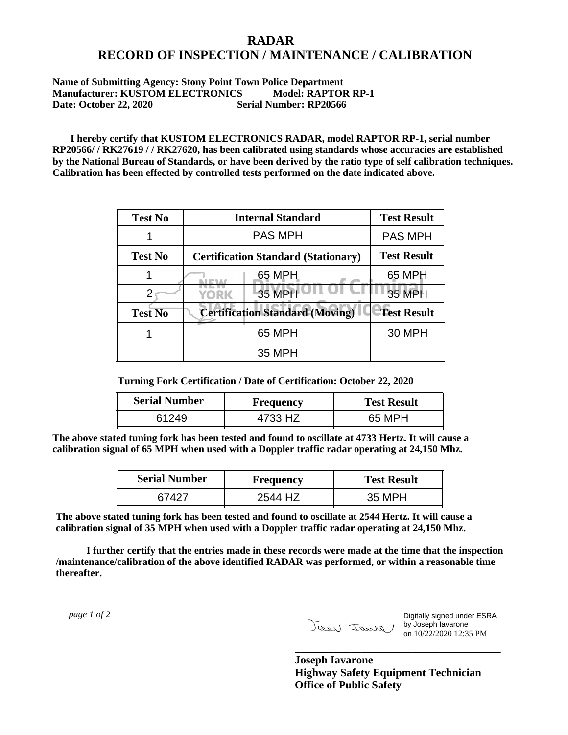## **RADAR RECORD OF INSPECTION / MAINTENANCE / CALIBRATION**

## **Name of Submitting Agency: Stony Point Town Police Department Manufacturer: KUSTOM ELECTRONICS Model: RAPTOR RP-1 Date: October 22, 2020 Serial Number: RP20566**

 **I hereby certify that KUSTOM ELECTRONICS RADAR, model RAPTOR RP-1, serial number RP20566/ / RK27619 / / RK27620, has been calibrated using standards whose accuracies are established by the National Bureau of Standards, or have been derived by the ratio type of self calibration techniques. Calibration has been effected by controlled tests performed on the date indicated above.**

| <b>Test No</b> | <b>Internal Standard</b>                   | <b>Test Result</b> |
|----------------|--------------------------------------------|--------------------|
|                | <b>PAS MPH</b>                             | <b>PAS MPH</b>     |
| <b>Test No</b> | <b>Certification Standard (Stationary)</b> | <b>Test Result</b> |
|                | 65 MPH                                     | 65 MPH             |
|                | 35 MPH<br>YORK                             | 35 MPH             |
| <b>Test No</b> | <b>Certification Standard (Moving)</b>     | <b>Test Result</b> |
|                | 65 MPH                                     | <b>30 MPH</b>      |
|                | <b>35 MPH</b>                              |                    |

**Turning Fork Certification / Date of Certification: October 22, 2020**

| <b>Serial Number</b> | Frequency | <b>Test Result</b> |
|----------------------|-----------|--------------------|
| 61249                | 4733 HZ   | 65 MPH             |

**The above stated tuning fork has been tested and found to oscillate at 4733 Hertz. It will cause a calibration signal of 65 MPH when used with a Doppler traffic radar operating at 24,150 Mhz.**

| <b>Serial Number</b> | <b>Frequency</b> | <b>Test Result</b> |
|----------------------|------------------|--------------------|
| 67427                | 2544 HZ          | 35 MPH             |

**The above stated tuning fork has been tested and found to oscillate at 2544 Hertz. It will cause a calibration signal of 35 MPH when used with a Doppler traffic radar operating at 24,150 Mhz.**

 **I further certify that the entries made in these records were made at the time that the inspection /maintenance/calibration of the above identified RADAR was performed, or within a reasonable time thereafter.**

 *page 1 of 2* 

Digitally signed under ESRA by Joseph Iavarone on 10/22/2020 12:35 PM

**Joseph Iavarone Highway Safety Equipment Technician Office of Public Safety**

**\_\_\_\_\_\_\_\_\_\_\_\_\_\_\_\_\_\_\_\_\_\_\_\_\_\_\_\_\_\_\_\_\_\_\_\_\_**